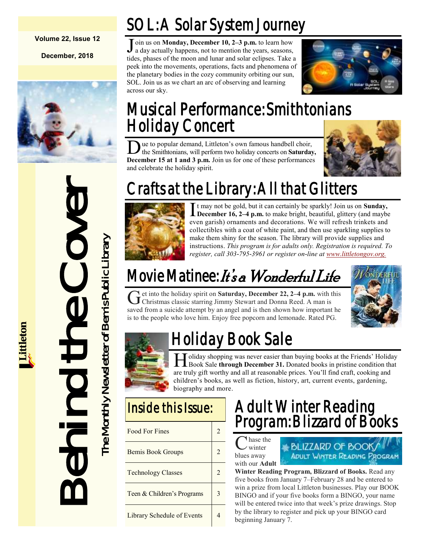#### **Volume 22, Issue 12**

**December, 2018**





# Musical Performance: Smithtonians Holiday Concert

 $\overline{\text{D}}$ ue to popular demand, Littleton's own famous handbell choir, the Smithtonians, will perform two holiday concerts on **Saturday, December 15 at 1 and 3 p.m.** Join us for one of these performances and celebrate the holiday spirit.

SOL: A Solar System Journey

J oin us on **Monday, December 10, 2–3 p.m.** to learn how a day actually happens, not to mention the years, seasons, a day actually happens, not to mention the years, seasons, tides, phases of the moon and lunar and solar eclipses. Take a peek into the movements, operations, facts and phenomena of the planetary bodies in the cozy community orbiting our sun, SOL. Join us as we chart an arc of observing and learning



# Crafts at the Library: All that Glitters



across our sky.

It may not be gold, but it can certainly be sparkly! Join us on **Sunday,**<br>December 16, 2–4 p.m. to make bright, beautiful, glittery (and maybe t may not be gold, but it can certainly be sparkly! Join us on **Sunday,**  even garish) ornaments and decorations. We will refresh trinkets and collectibles with a coat of white paint, and then use sparkling supplies to make them shiny for the season. The library will provide supplies and instructions. *This program is for adults only. Registration is required. To register, call 303-795-3961 or register on-line at [www.littletongov.org.](https://www.littletongov.org/city-services/city-departments/bemis-library/library-events-calendar/-curm-12/-cury-2018/-selcat-3)*

# Movie Matinee: It's a Wonderful Life

Get into the holiday spirit on Saturday, December 22, 2–4 p.m. with the Christmas classic starring Jimmy Stewart and Donna Reed. A man is et into the holiday spirit on **Saturday, December 22, 2–4 p.m.** with this saved from a suicide attempt by an angel and is then shown how important he is to the people who love him. Enjoy free popcorn and lemonade. Rated PG.





# Holiday Book Sale

H oliday shopping was never easier than buying books at the Friends' Holiday<br>Book Sale through December 31. Donated books in pristine condition that I oliday shopping was never easier than buying books at the Friends' Holiday are truly gift worthy and all at reasonable prices. You'll find craft, cooking and children's books, as well as fiction, history, art, current events, gardening, biography and more.

| <b>Food For Fines</b>      |  |
|----------------------------|--|
| <b>Bemis Book Groups</b>   |  |
| <b>Technology Classes</b>  |  |
| Teen & Children's Programs |  |
| Library Schedule of Events |  |

# Adult Winter Reading Program: Blizzard of Books

C hase the winter blues away with our **Adult** 



**Winter Reading Program, Blizzard of Books.** Read any five books from January 7–February 28 and be entered to win a prize from local Littleton businesses. Play our BOOK BINGO and if your five books form a BINGO, your name will be entered twice into that week's prize drawings. Stop by the library to register and pick up your BINGO card beginning January 7.



# Crafts at the Learner of Bemis Book Crown games<br>
The Montenant Content of Bemis Public Library of Bemis Public Library State Content<br>
Sixte the people who love bin I Hold Core and the Library sixter.<br>
The Montenant State S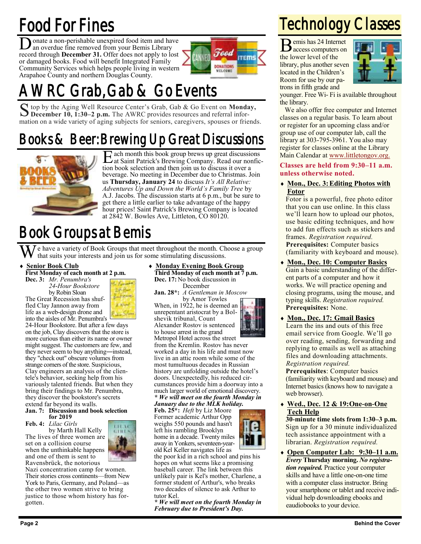# Food For Fines

D onate a non-perishable unexpired food item and have an overdue fine removed from your Bemis Library record through **December 31.** Offer does not apply to lost or damaged books. Food will benefit Integrated Family Community Services which helps people living in western Arapahoe County and northern Douglas County.



# Grab, Gab & Go Events

S top by the Aging Well Resource Center's Grab, Gab & Go Event on **Monday**, December 10, 1:30-2 p.m. The AWRC provides resources and referral infor-**December 10, 1:30–2 p.m.** The AWRC provides resources and referral information on a wide variety of aging subjects for seniors, caregivers, spouses or friends.

# Books & Beer: Brewing Up Great Discussions



E ach month this book group brews up great discussions at Saint Patrick's Brewing Company. Read our nonfic- $\Gamma$  ach month this book group brews up great discussions tion book selection and then join us to discuss it over a beverage. No meeting in December due to Christmas. Join us **Thursday, January 24** to discuss *It's All Relative: Adventures Up and Down the World's Family Tree* by A.J. Jacobs. The discussion starts at 6 p.m., but be sure to get there a little earlier to take advantage of the happy hour prices! Saint Patrick's Brewing Company is located at 2842 W. Bowles Ave, Littleton, CO 80120.

# Book Groups at Bemis

e have a variety of Book Groups that meet throughout the month. Choose a group that suits your interests and join us for some stimulating discussions.

**Senior Book Club**

**First Monday of each month at 2 p.m. Dec. 3:** *Mr. Penumbra's*

*24-Hour Bookstore* by Robin Sloan The Great Recession has shuffled Clay Jannon away from



life as a web-design drone and into the aisles of Mr. Penumbra's 24-Hour Bookstore. But after a few days on the job, Clay discovers that the store is more curious than either its name or owner might suggest. The customers are few, and they never seem to buy anything―instead, they "check out" obscure volumes from strange corners of the store. Suspicious, Clay engineers an analysis of the clientele's behavior, seeking help from his variously talented friends. But when they bring their findings to Mr. Penumbra, they discover the bookstore's secrets extend far beyond its walls.

#### **Jan. 7: Discussion and book selection for 2019**

**Feb. 4:** *Lilac Girls*

by Marth Hall Kelly The lives of three women are set on a collision course when the unthinkable happens and one of them is sent to Ravensbrück, the notorious



Nazi concentration camp for women. Their stories cross continents—from New York to Paris, Germany, and Poland—as the other two women strive to bring justice to those whom history has forgotten.

 **Monday Evening Book Group Third Monday of each month at 7 p.m. Dec. 17:** No book discussion in December

**Jan. 28\*:** *A Gentleman in Moscow* by Amor Towles

When, in 1922, he is deemed an unrepentant aristocrat by a Bolshevik tribunal, Count Alexander Rostov is sentenced to house arrest in the grand Metropol Hotel across the street

from the Kremlin. Rostov has never worked a day in his life and must now live in an attic room while some of the most tumultuous decades in Russian history are unfolding outside the hotel's doors. Unexpectedly, his reduced circumstances provide him a doorway into a much larger world of emotional discovery. *\* We will meet on the fourth Monday in January due to the MLK holiday.*

**Feb. 25\*:** *Heft* by Liz Moore Former academic Arthur Opp weighs 550 pounds and hasn't left his rambling Brooklyn home in a decade. Twenty miles away in Yonkers, seventeen-yearold Kel Keller navigates life as

the poor kid in a rich school and pins his hopes on what seems like a promising baseball career. The link between this unlikely pair is Kel's mother, Charlene, a former student of Arthur's, who breaks two decades of silence to ask Arthur to tutor Kel.

*\* We will meet on the fourth Monday in February due to President's Day.*



 $B_{\text{access computers on}}^{m}$ access computers on the lower level of the library, plus another seven located in the Children's Room for use by our patrons in fifth grade and



younger. Free Wi- Fi is available throughout the library.

We also offer free computer and Internet classes on a regular basis. To learn about or register for an upcoming class and/or group use of our computer lab, call the library at 303-795-3961. You also may register for classes online at the Library Main Calendar at [www.littletongov.org.](https://www.littletongov.org/city-services/city-departments/bemis-library/library-events-calendar/-curm-10/-cury-2018/-selcat-157)

**Classes are held from 9:30–11 a.m. unless otherwise noted.**

 **Mon., Dec. 3:Editing Photos with Fotor**

Fotor is a powerful, free photo editor that you can use online. In this class we'll learn how to upload our photos, use basic editing techniques, and how to add fun effects such as stickers and frames. *Registration required.* **Prerequisites:** Computer basics (familiarity with keyboard and mouse).

- **Mon., Dec. 10: Computer Basics** Gain a basic understanding of the different parts of a computer and how it works. We will practice opening and closing programs, using the mouse, and typing skills. *Registration required.* **Prerequisites:** None.
- **Mon., Dec. 17: Gmail Basics** Learn the ins and outs of this free email service from Google. We'll go over reading, sending, forwarding and replying to emails as well as attaching files and downloading attachments. *Registration required.*

**Prerequisites**: Computer basics (familiarity with keyboard and mouse) and Internet basics (knows how to navigate a web browser).

 **Wed., Dec. 12 & 19:One-on-One Tech Help**

**30-minute time slots from 1:30–3 p.m.** Sign up for a 30 minute individualized tech assistance appointment with a librarian. *Registration required.*

 **Open Computer Lab: 9:30–11 a.m.** *Every* **Thursday morning.** *No registration required.* Practice your computer skills and have a little one-on-one time with a computer class instructor. Bring your smartphone or tablet and receive individual help downloading ebooks and eaudiobooks to your device.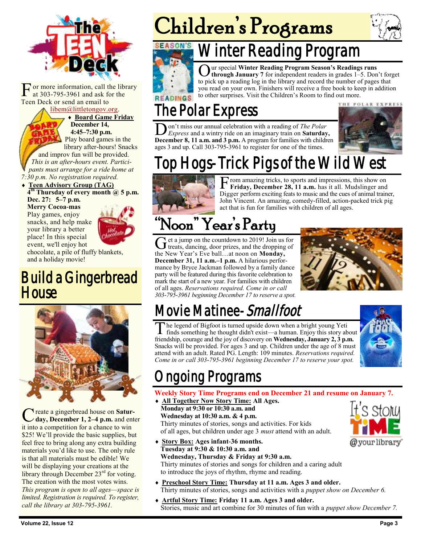

F or more information, call the at 303-795-3961 and ask for Teen Deck or send an email to or more information, call the library at 303-795-3961 and ask for the

[libem@littletongov.org.](mailto:libem@littletongov.org.)

 **Board Game Friday December 14, 4:45–7:30 p.m.** Play board games in the library after-hours! Snacks

and improv fun will be provided. *This is an after-hours event. Participants must arrange for a ride home at 7:30 p.m. No registration required.*

### **Teen Advisory Group (TAG) 4 th Thursday of every month @ 5 p.m.**

**Dec. 27: 5–7 p.m. Merry Cocoa-mas** Play games, enjoy

snacks, and help make your library a better place! In this special event, we'll enjoy hot

chocolate, a pile of fluffy blankets, and a holiday movie!

## Build a Gingerbread **House**



C reate a gingerbread house on **Satur-**<br> **day, December 1, 2–4 p.m.** and enter reate a gingerbread house on **Satur**it into a competition for a chance to win \$25! We'll provide the basic supplies, but feel free to bring along any extra building materials you'd like to use. The only rule is that all materials must be edible! We will be displaying your creations at the library through December 23<sup>rd</sup> for voting. The creation with the most votes wins. *This program is open to all ages—space is limited. Registration is required. To register, call the library at 303-795-3961.*

# Children's Programs





# Winter Reading Program



O ur special **Winter Reading Program Season's Readings runs through January 7** for independent readers in grades 1–5. Don't forget to pick up a reading log in the library and record the number of pages that you read on your own. Finishers will receive a free book to keep in addition to other surprises. Visit the Children's Room to find out more.

# The Polar Express

**D** on't miss our annual celebration with a reading of *The Polar* Express and a wintry ride on an imaginary train on **Saturday**, **December 8, 11 a.m. and 3 p.m.** A program for families with children on't miss our annual celebration with a reading of *The Polar Express* and a wintry ride on an imaginary train on **Saturday,**  ages 3 and up. Call 303-795-3961 to register for one of the times.



# op Hogs-Trick Pigs of the Wild West



F rom amazing tricks, to sports and impressions, this show on<br>Friday, December 28, 11 a.m. has it all. Mudslinger and<br>Digger perform exciting feats to music and the cues of animal trainer, rom amazing tricks, to sports and impressions, this show on **Friday, December 28, 11 a.m.** has it all. Mudslinger and John Vincent. An amazing, comedy-filled, action-packed trick pig act that is fun for families with children of all ages.

# "Noon" Year's Party

Get a jump on the countdown to 2019! Join us for<br>treats, dancing, door prizes, and the dropping of  $\pm$  et a jump on the countdown to 2019! Join us for the New Year's Eve ball…at noon on **Monday, December 31, 11 a.m.–1 p.m.** A hilarious performance by Bryce Jackman followed by a family dance party will be featured during this favorite celebration to mark the start of a new year. For families with children of all ages. *Reservations required. Come in or call 303-795-3961 beginning December 17 to reserve a spot.*



# Movie Matinee-Smallfoot

The legend of Bigfoot is turned upside down when a bright young Yeti<br>finds something he thought didn't exist—a human. Enjoy this story about he legend of Bigfoot is turned upside down when a bright young Yeti friendship, courage and the joy of discovery on **Wednesday, January 2, 3 p.m.** Snacks will be provided. For ages 3 and up. Children under the age of 8 must attend with an adult. Rated PG. Length: 109 minutes. *Reservations required. Come in or call 303-795-3961 beginning December 17 to reserve your spot.*



# ngoing Programs

### **Weekly Story Time Programs end on December 21 and resume on January 7.**

 **All Together Now Story Time: All Ages. Monday at 9:30 or 10:30 a.m. and Wednesday at 10:30 a.m. & 4 p.m.**

Thirty minutes of stories, songs and activities. For kids of all ages, but children under age 3 *must* attend with an adult.



- **Story Box: Ages infant-36 months. Tuesday at 9:30 & 10:30 a.m. and Wednesday, Thursday & Friday at 9:30 a.m.** Thirty minutes of stories and songs for children and a caring adult to introduce the joys of rhythm, rhyme and reading.
- **Preschool Story Time: Thursday at 11 a.m. Ages 3 and older.** Thirty minutes of stories, songs and activities with a *puppet show on December 6.*
- **Artful Story Time: Friday 11 a.m. Ages 3 and older.** Stories, music and art combine for 30 minutes of fun with a *puppet show December 7.*